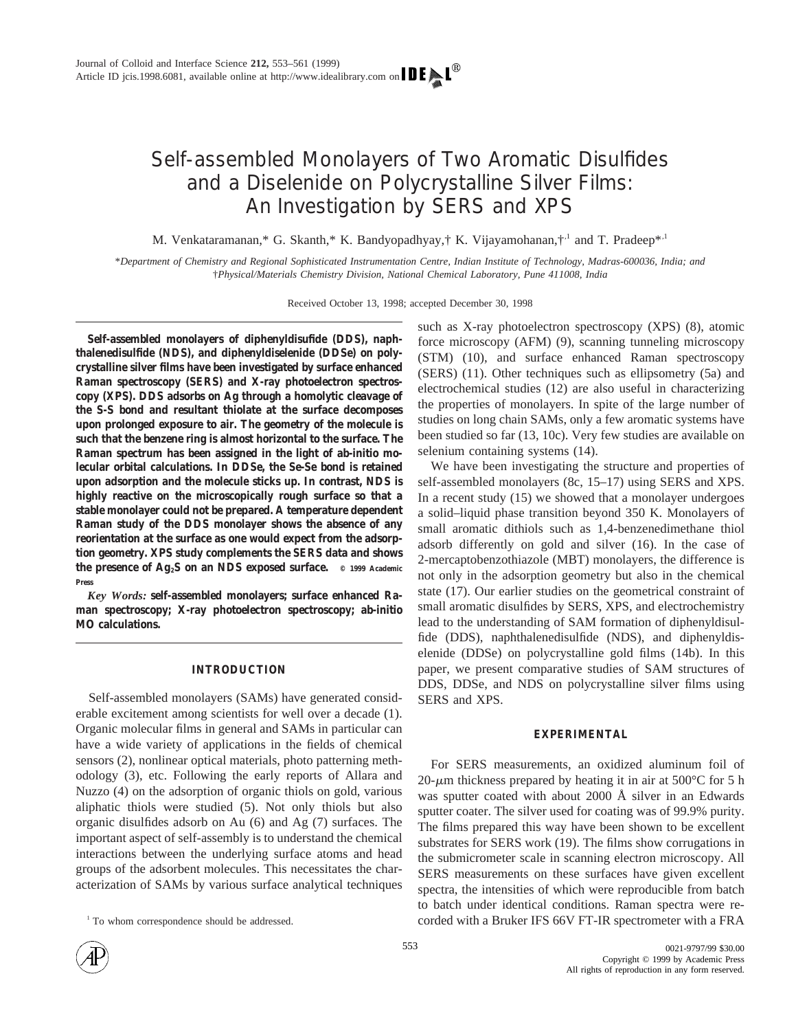# Self-assembled Monolayers of Two Aromatic Disulfides and a Diselenide on Polycrystalline Silver Films: An Investigation by SERS and XPS

M. Venkataramanan,\* G. Skanth,\* K. Bandyopadhyay,† K. Vijayamohanan,†<sup>1</sup> and T. Pradeep\*<sup>1</sup>

\**Department of Chemistry and Regional Sophisticated Instrumentation Centre, Indian Institute of Technology, Madras-600036, India; and* †*Physical/Materials Chemistry Division, National Chemical Laboratory, Pune 411008, India*

Received October 13, 1998; accepted December 30, 1998

**Self-assembled monolayers of diphenyldisufide (DDS), naphthalenedisulfide (NDS), and diphenyldiselenide (DDSe) on polycrystalline silver films have been investigated by surface enhanced Raman spectroscopy (SERS) and X-ray photoelectron spectroscopy (XPS). DDS adsorbs on Ag through a homolytic cleavage of the S-S bond and resultant thiolate at the surface decomposes upon prolonged exposure to air. The geometry of the molecule is such that the benzene ring is almost horizontal to the surface. The Raman spectrum has been assigned in the light of ab-initio molecular orbital calculations. In DDSe, the Se-Se bond is retained upon adsorption and the molecule sticks up. In contrast, NDS is highly reactive on the microscopically rough surface so that a stable monolayer could not be prepared. A temperature dependent Raman study of the DDS monolayer shows the absence of any reorientation at the surface as one would expect from the adsorption geometry. XPS study complements the SERS data and shows the presence of Ag2S on an NDS exposed surface. © 1999 Academic Press**

*Key Words:* **self-assembled monolayers; surface enhanced Raman spectroscopy; X-ray photoelectron spectroscopy; ab-initio MO calculations.**

## **INTRODUCTION**

Self-assembled monolayers (SAMs) have generated considerable excitement among scientists for well over a decade (1). Organic molecular films in general and SAMs in particular can have a wide variety of applications in the fields of chemical sensors (2), nonlinear optical materials, photo patterning methodology (3), etc. Following the early reports of Allara and Nuzzo (4) on the adsorption of organic thiols on gold, various aliphatic thiols were studied (5). Not only thiols but also organic disulfides adsorb on Au (6) and Ag (7) surfaces. The important aspect of self-assembly is to understand the chemical interactions between the underlying surface atoms and head groups of the adsorbent molecules. This necessitates the characterization of SAMs by various surface analytical techniques such as X-ray photoelectron spectroscopy (XPS) (8), atomic force microscopy (AFM) (9), scanning tunneling microscopy (STM) (10), and surface enhanced Raman spectroscopy (SERS) (11). Other techniques such as ellipsometry (5a) and electrochemical studies (12) are also useful in characterizing the properties of monolayers. In spite of the large number of studies on long chain SAMs, only a few aromatic systems have been studied so far (13, 10c). Very few studies are available on selenium containing systems (14).

We have been investigating the structure and properties of self-assembled monolayers (8c, 15–17) using SERS and XPS. In a recent study (15) we showed that a monolayer undergoes a solid–liquid phase transition beyond 350 K. Monolayers of small aromatic dithiols such as 1,4-benzenedimethane thiol adsorb differently on gold and silver (16). In the case of 2-mercaptobenzothiazole (MBT) monolayers, the difference is not only in the adsorption geometry but also in the chemical state (17). Our earlier studies on the geometrical constraint of small aromatic disulfides by SERS, XPS, and electrochemistry lead to the understanding of SAM formation of diphenyldisulfide (DDS), naphthalenedisulfide (NDS), and diphenyldiselenide (DDSe) on polycrystalline gold films (14b). In this paper, we present comparative studies of SAM structures of DDS, DDSe, and NDS on polycrystalline silver films using SERS and XPS.

## **EXPERIMENTAL**

For SERS measurements, an oxidized aluminum foil of 20- $\mu$ m thickness prepared by heating it in air at 500°C for 5 h was sputter coated with about 2000 Å silver in an Edwards sputter coater. The silver used for coating was of 99.9% purity. The films prepared this way have been shown to be excellent substrates for SERS work (19). The films show corrugations in the submicrometer scale in scanning electron microscopy. All SERS measurements on these surfaces have given excellent spectra, the intensities of which were reproducible from batch to batch under identical conditions. Raman spectra were re- <sup>1</sup> To whom correspondence should be addressed. corded with a Bruker IFS 66V FT-IR spectrometer with a FRA

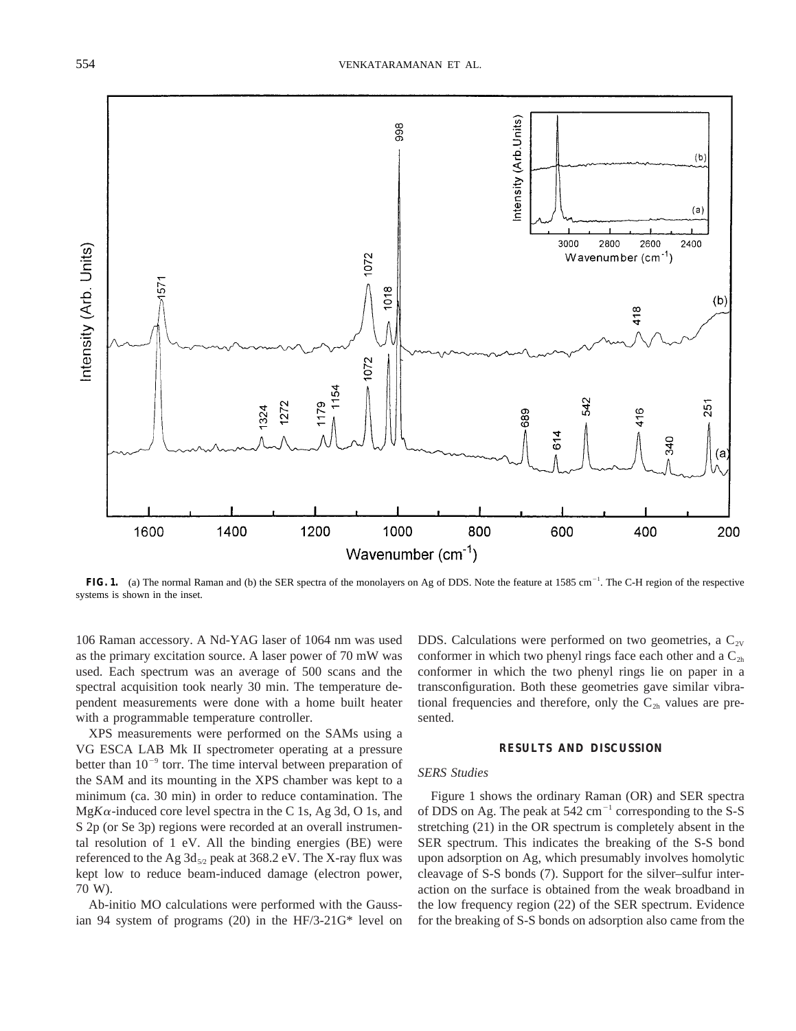

FIG. 1. (a) The normal Raman and (b) the SER spectra of the monolayers on Ag of DDS. Note the feature at 1585 cm<sup>-1</sup>. The C-H region of the respective systems is shown in the inset.

106 Raman accessory. A Nd-YAG laser of 1064 nm was used as the primary excitation source. A laser power of 70 mW was used. Each spectrum was an average of 500 scans and the spectral acquisition took nearly 30 min. The temperature dependent measurements were done with a home built heater with a programmable temperature controller.

XPS measurements were performed on the SAMs using a VG ESCA LAB Mk II spectrometer operating at a pressure better than  $10^{-9}$  torr. The time interval between preparation of the SAM and its mounting in the XPS chamber was kept to a minimum (ca. 30 min) in order to reduce contamination. The  $MgK\alpha$ -induced core level spectra in the C 1s, Ag 3d, O 1s, and S 2p (or Se 3p) regions were recorded at an overall instrumental resolution of 1 eV. All the binding energies (BE) were referenced to the Ag  $3d_{5/2}$  peak at  $368.2$  eV. The X-ray flux was kept low to reduce beam-induced damage (electron power, 70 W).

Ab-initio MO calculations were performed with the Gaussian 94 system of programs (20) in the HF/3-21G\* level on DDS. Calculations were performed on two geometries, a  $C_{2V}$ conformer in which two phenyl rings face each other and a  $C_{2h}$ conformer in which the two phenyl rings lie on paper in a transconfiguration. Both these geometries gave similar vibrational frequencies and therefore, only the  $C_{2h}$  values are presented.

#### **RESULTS AND DISCUSSION**

## *SERS Studies*

Figure 1 shows the ordinary Raman (OR) and SER spectra of DDS on Ag. The peak at  $542 \text{ cm}^{-1}$  corresponding to the S-S stretching (21) in the OR spectrum is completely absent in the SER spectrum. This indicates the breaking of the S-S bond upon adsorption on Ag, which presumably involves homolytic cleavage of S-S bonds (7). Support for the silver–sulfur interaction on the surface is obtained from the weak broadband in the low frequency region (22) of the SER spectrum. Evidence for the breaking of S-S bonds on adsorption also came from the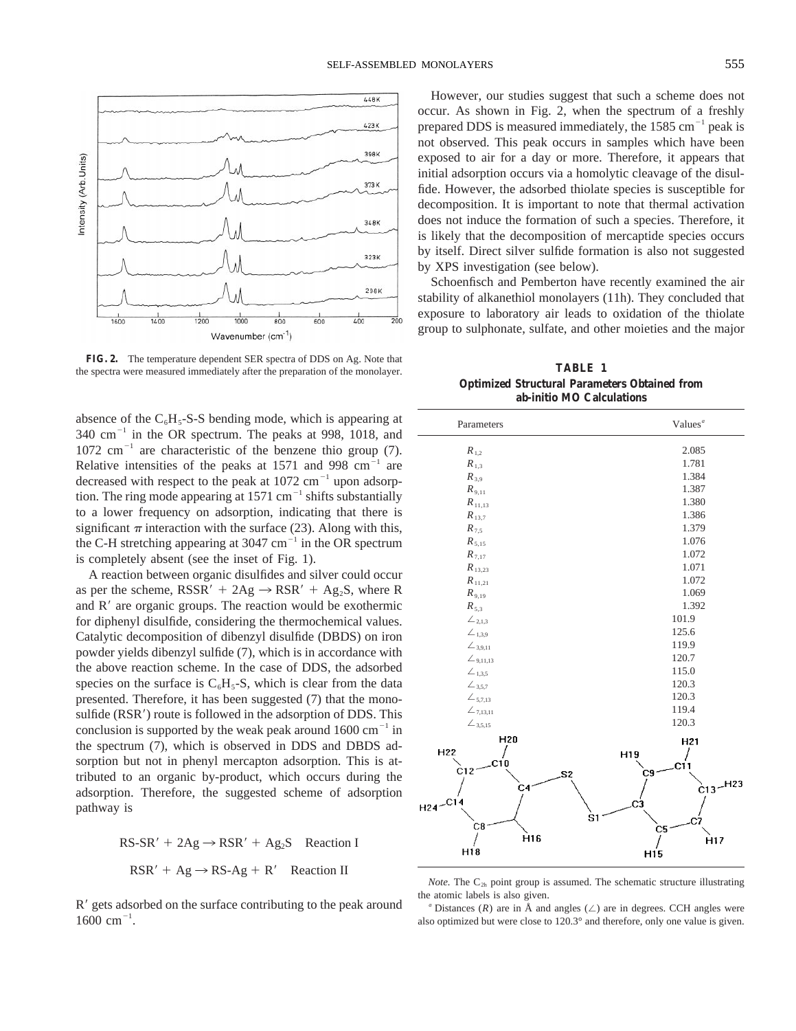

**FIG. 2.** The temperature dependent SER spectra of DDS on Ag. Note that the spectra were measured immediately after the preparation of the monolayer. **TABLE 1** 

absence of the  $C_6H_5-S-S$  bending mode, which is appearing at  $340 \text{ cm}^{-1}$  in the OR spectrum. The peaks at 998, 1018, and  $1072$  cm<sup>-1</sup> are characteristic of the benzene thio group (7). Relative intensities of the peaks at  $1571$  and  $998 \text{ cm}^{-1}$  are decreased with respect to the peak at  $1072 \text{ cm}^{-1}$  upon adsorption. The ring mode appearing at  $1571 \text{ cm}^{-1}$  shifts substantially to a lower frequency on adsorption, indicating that there is significant  $\pi$  interaction with the surface (23). Along with this, the C-H stretching appearing at  $3047 \text{ cm}^{-1}$  in the OR spectrum is completely absent (see the inset of Fig. 1).

A reaction between organic disulfides and silver could occur as per the scheme,  $RSSR' + 2Ag \rightarrow RSR' + Ag_2S$ , where R and  $R'$  are organic groups. The reaction would be exothermic for diphenyl disulfide, considering the thermochemical values. Catalytic decomposition of dibenzyl disulfide (DBDS) on iron powder yields dibenzyl sulfide (7), which is in accordance with the above reaction scheme. In the case of DDS, the adsorbed species on the surface is  $C_6H_5-S$ , which is clear from the data presented. Therefore, it has been suggested (7) that the monosulfide (RSR<sup>'</sup>) route is followed in the adsorption of DDS. This conclusion is supported by the weak peak around  $1600 \text{ cm}^{-1}$  in the spectrum (7), which is observed in DDS and DBDS adsorption but not in phenyl mercapton adsorption. This is attributed to an organic by-product, which occurs during the adsorption. Therefore, the suggested scheme of adsorption pathway is

> $RS-SR' + 2Ag \rightarrow RSR' + Ag_2S$  Reaction I  $RSR' + Ag \rightarrow RS-Ag + R'$  Reaction II

R' gets adsorbed on the surface contributing to the peak around  $1600 \text{ cm}^{-1}$ .

However, our studies suggest that such a scheme does not occur. As shown in Fig. 2, when the spectrum of a freshly prepared DDS is measured immediately, the  $1585 \text{ cm}^{-1}$  peak is not observed. This peak occurs in samples which have been exposed to air for a day or more. Therefore, it appears that initial adsorption occurs via a homolytic cleavage of the disulfide. However, the adsorbed thiolate species is susceptible for decomposition. It is important to note that thermal activation does not induce the formation of such a species. Therefore, it is likely that the decomposition of mercaptide species occurs by itself. Direct silver sulfide formation is also not suggested by XPS investigation (see below).

Schoenfisch and Pemberton have recently examined the air stability of alkanethiol monolayers (11h). They concluded that exposure to laboratory air leads to oxidation of the thiolate group to sulphonate, sulfate, and other moieties and the major

**Optimized Structural Parameters Obtained from ab-initio MO Calculations**

| Parameters                | Values $a$      |
|---------------------------|-----------------|
| $R_{1,2}$                 | 2.085           |
| $R_{1,3}$                 | 1.781           |
| $R_{3.9}$                 | 1.384           |
| $R_{9,11}$                | 1.387           |
| $\boldsymbol{R}_{11,13}$  | 1.380           |
| $R_{13,7}$                | 1.386           |
| $R_{7.5}$                 | 1.379           |
| $R_{5,15}$                | 1.076           |
| $R_{7,17}$                | 1.072           |
| $R_{13,23}$               | 1.071           |
| $R_{11,21}$               | 1.072           |
| $R_{9,19}$                | 1.069           |
| $R_{5,3}$                 | 1.392           |
| $\angle_{2,1,3}$          | 101.9           |
| $\angle$ <sub>1,3,9</sub> | 125.6           |
| $\angle$ 3,9,11           | 119.9           |
| $\angle$ 9,11,13          | 120.7           |
| $\angle_{1,3,5}$          | 115.0           |
| $\angle$ 3,5,7            | 120.3           |
| $\angle$ 5,7,13           | 120.3           |
| $\angle$ 7,13,11          | 119.4           |
| $\angle$ 3,5,15           | 120.3           |
| H <sub>20</sub>           | H21             |
| H <sub>22</sub>           | H19             |
| C10                       | C11             |
| C12<br>S2                 | C9              |
| C <sub>4</sub>            | H23<br>Ċ13      |
| н24- <sup>-С14</sup>      | CЗ              |
|                           | S <sub>1</sub>  |
| C8                        | C5              |
| H <sub>16</sub>           | H <sub>17</sub> |
| H18                       | H <sub>15</sub> |

*Note.* The  $C_{2h}$  point group is assumed. The schematic structure illustrating the atomic labels is also given.

<sup>*a*</sup> Distances (*R*) are in Å and angles ( $\angle$ ) are in degrees. CCH angles were also optimized but were close to 120.3° and therefore, only one value is given.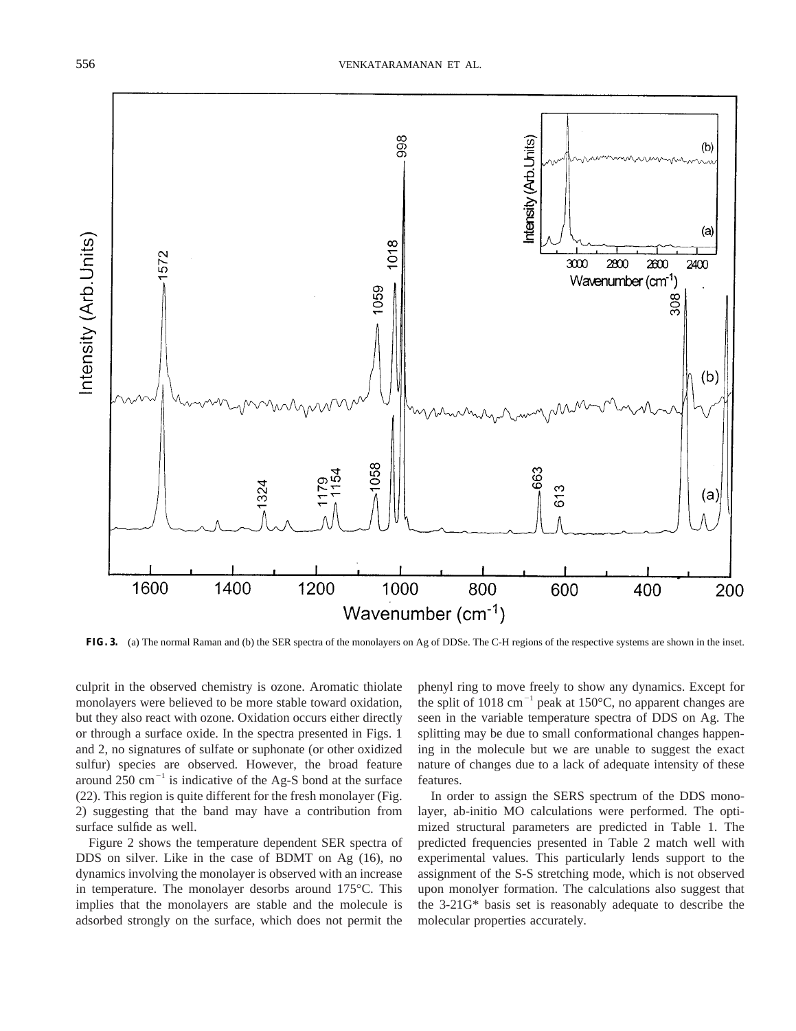

**FIG. 3.** (a) The normal Raman and (b) the SER spectra of the monolayers on Ag of DDSe. The C-H regions of the respective systems are shown in the inset.

culprit in the observed chemistry is ozone. Aromatic thiolate monolayers were believed to be more stable toward oxidation, but they also react with ozone. Oxidation occurs either directly or through a surface oxide. In the spectra presented in Figs. 1 and 2, no signatures of sulfate or suphonate (or other oxidized sulfur) species are observed. However, the broad feature around  $250 \text{ cm}^{-1}$  is indicative of the Ag-S bond at the surface (22). This region is quite different for the fresh monolayer (Fig. 2) suggesting that the band may have a contribution from surface sulfide as well.

Figure 2 shows the temperature dependent SER spectra of DDS on silver. Like in the case of BDMT on Ag (16), no dynamics involving the monolayer is observed with an increase in temperature. The monolayer desorbs around 175°C. This implies that the monolayers are stable and the molecule is adsorbed strongly on the surface, which does not permit the

phenyl ring to move freely to show any dynamics. Except for the split of 1018 cm<sup>-1</sup> peak at 150°C, no apparent changes are seen in the variable temperature spectra of DDS on Ag. The splitting may be due to small conformational changes happening in the molecule but we are unable to suggest the exact nature of changes due to a lack of adequate intensity of these features.

In order to assign the SERS spectrum of the DDS monolayer, ab-initio MO calculations were performed. The optimized structural parameters are predicted in Table 1. The predicted frequencies presented in Table 2 match well with experimental values. This particularly lends support to the assignment of the S-S stretching mode, which is not observed upon monolyer formation. The calculations also suggest that the 3-21G\* basis set is reasonably adequate to describe the molecular properties accurately.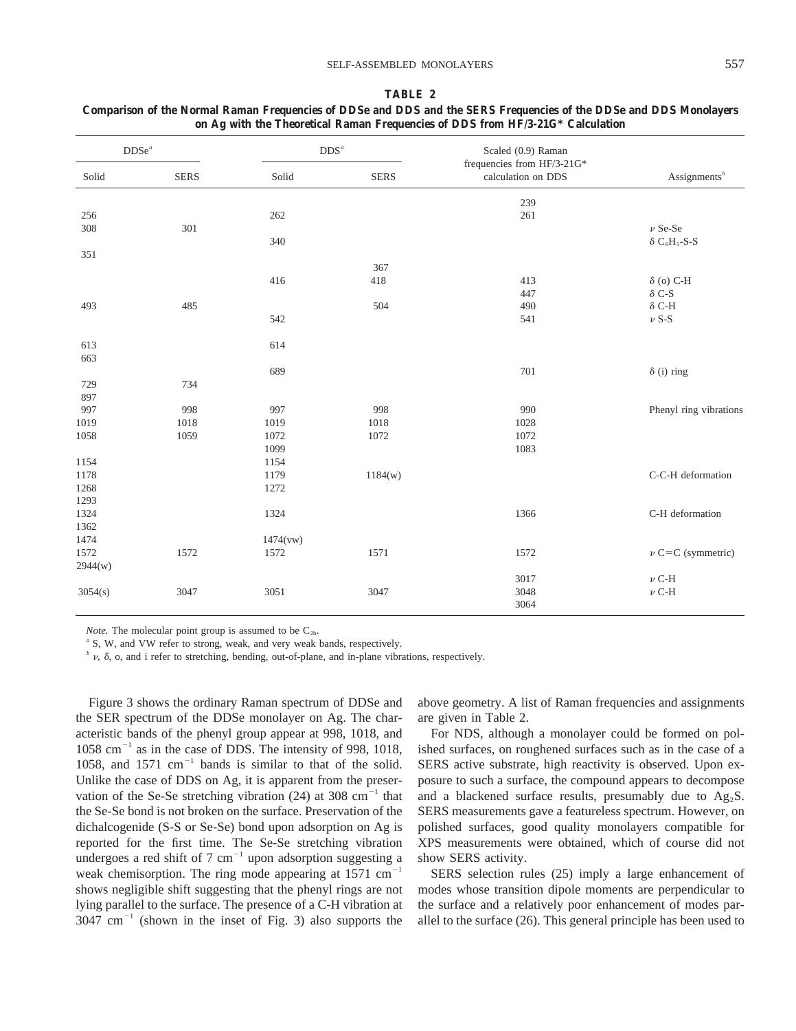| $DDSe^a$ |             | $\mathrm{DDS}^a$ |             | Scaled (0.9) Raman                               |                          |
|----------|-------------|------------------|-------------|--------------------------------------------------|--------------------------|
| Solid    | <b>SERS</b> | Solid            | <b>SERS</b> | frequencies from HF/3-21G*<br>calculation on DDS | Assignments <sup>b</sup> |
|          |             |                  |             | 239                                              |                          |
| 256      |             | 262              |             | 261                                              |                          |
| 308      | 301         |                  |             |                                                  | $\nu$ Se-Se              |
|          |             | 340              |             |                                                  | $\delta C_6H_5-S-S$      |
| 351      |             |                  |             |                                                  |                          |
|          |             |                  | 367         |                                                  |                          |
|          |             | 416              | 418         | 413                                              | $\delta$ (o) C-H         |
|          |             |                  |             | 447                                              | $\delta$ C-S             |
| 493      | 485         |                  | 504         | 490                                              | $\delta$ C-H             |
|          |             | 542              |             | 541                                              | $\nu$ S-S                |
|          |             |                  |             |                                                  |                          |
| 613      |             | 614              |             |                                                  |                          |
| 663      |             |                  |             |                                                  |                          |
|          |             | 689              |             | 701                                              | $\delta$ (i) ring        |
| 729      | 734         |                  |             |                                                  |                          |
| 897      |             |                  |             |                                                  |                          |
| 997      | 998         | 997              | 998         | 990                                              | Phenyl ring vibrations   |
| 1019     | 1018        | 1019             | 1018        | 1028                                             |                          |
| 1058     | 1059        | 1072             | 1072        | 1072                                             |                          |
|          |             | 1099             |             | 1083                                             |                          |
| 1154     |             | 1154             |             |                                                  |                          |
| 1178     |             | 1179             | 1184(w)     |                                                  | C-C-H deformation        |
| 1268     |             | 1272             |             |                                                  |                          |
| 1293     |             |                  |             |                                                  |                          |
| 1324     |             | 1324             |             | 1366                                             | C-H deformation          |
| 1362     |             |                  |             |                                                  |                          |
| 1474     |             | 1474(vw)         |             |                                                  |                          |
| 1572     | 1572        | 1572             | 1571        | 1572                                             | $\nu$ C=C (symmetric)    |
| 2944(w)  |             |                  |             |                                                  |                          |
|          |             |                  |             | 3017                                             | $\nu$ C-H                |
| 3054(s)  | 3047        | 3051             | 3047        | 3048                                             | $\nu$ C-H                |
|          |             |                  |             | 3064                                             |                          |

# **TABLE 2 Comparison of the Normal Raman Frequencies of DDSe and DDS and the SERS Frequencies of the DDSe and DDS Monolayers on Ag with the Theoretical Raman Frequencies of DDS from HF/3-21G\* Calculation**

*Note.* The molecular point group is assumed to be  $C_{2h}$ .

<sup>a</sup> S, W, and VW refer to strong, weak, and very weak bands, respectively.

 $\phi$  v,  $\delta$ , o, and i refer to stretching, bending, out-of-plane, and in-plane vibrations, respectively.

Figure 3 shows the ordinary Raman spectrum of DDSe and the SER spectrum of the DDSe monolayer on Ag. The characteristic bands of the phenyl group appear at 998, 1018, and  $1058$  cm<sup>-1</sup> as in the case of DDS. The intensity of 998, 1018, 1058, and 1571  $cm^{-1}$  bands is similar to that of the solid. Unlike the case of DDS on Ag, it is apparent from the preservation of the Se-Se stretching vibration  $(24)$  at 308 cm<sup>-1</sup> that the Se-Se bond is not broken on the surface. Preservation of the dichalcogenide (S-S or Se-Se) bond upon adsorption on Ag is reported for the first time. The Se-Se stretching vibration undergoes a red shift of 7 cm<sup>-1</sup> upon adsorption suggesting a weak chemisorption. The ring mode appearing at  $1571 \text{ cm}^{-1}$ shows negligible shift suggesting that the phenyl rings are not lying parallel to the surface. The presence of a C-H vibration at  $3047 \text{ cm}^{-1}$  (shown in the inset of Fig. 3) also supports the

above geometry. A list of Raman frequencies and assignments are given in Table 2.

For NDS, although a monolayer could be formed on polished surfaces, on roughened surfaces such as in the case of a SERS active substrate, high reactivity is observed. Upon exposure to such a surface, the compound appears to decompose and a blackened surface results, presumably due to  $Ag<sub>2</sub>S$ . SERS measurements gave a featureless spectrum. However, on polished surfaces, good quality monolayers compatible for XPS measurements were obtained, which of course did not show SERS activity.

SERS selection rules (25) imply a large enhancement of modes whose transition dipole moments are perpendicular to the surface and a relatively poor enhancement of modes parallel to the surface (26). This general principle has been used to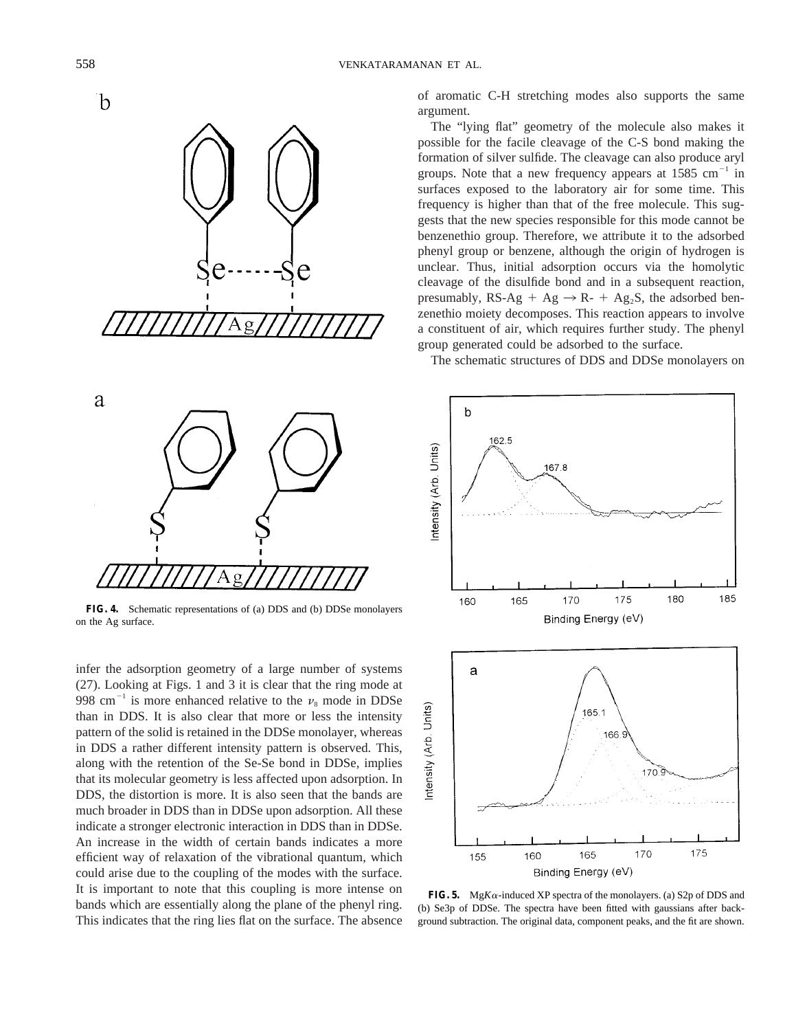



**FIG. 4.** Schematic representations of (a) DDS and (b) DDSe monolayers on the Ag surface.

infer the adsorption geometry of a large number of systems (27). Looking at Figs. 1 and 3 it is clear that the ring mode at 998 cm<sup>-1</sup> is more enhanced relative to the  $\nu_8$  mode in DDSe than in DDS. It is also clear that more or less the intensity pattern of the solid is retained in the DDSe monolayer, whereas in DDS a rather different intensity pattern is observed. This, along with the retention of the Se-Se bond in DDSe, implies that its molecular geometry is less affected upon adsorption. In DDS, the distortion is more. It is also seen that the bands are much broader in DDS than in DDSe upon adsorption. All these indicate a stronger electronic interaction in DDS than in DDSe. An increase in the width of certain bands indicates a more efficient way of relaxation of the vibrational quantum, which could arise due to the coupling of the modes with the surface. It is important to note that this coupling is more intense on bands which are essentially along the plane of the phenyl ring. This indicates that the ring lies flat on the surface. The absence of aromatic C-H stretching modes also supports the same argument.

The "lying flat" geometry of the molecule also makes it possible for the facile cleavage of the C-S bond making the formation of silver sulfide. The cleavage can also produce aryl groups. Note that a new frequency appears at  $1585 \text{ cm}^{-1}$  in surfaces exposed to the laboratory air for some time. This frequency is higher than that of the free molecule. This suggests that the new species responsible for this mode cannot be benzenethio group. Therefore, we attribute it to the adsorbed phenyl group or benzene, although the origin of hydrogen is unclear. Thus, initial adsorption occurs via the homolytic cleavage of the disulfide bond and in a subsequent reaction, presumably, RS-Ag + Ag  $\rightarrow$  R- + Ag<sub>2</sub>S, the adsorbed benzenethio moiety decomposes. This reaction appears to involve a constituent of air, which requires further study. The phenyl group generated could be adsorbed to the surface.

The schematic structures of DDS and DDSe monolayers on



**FIG. 5.** Mg*K* $\alpha$ -induced XP spectra of the monolayers. (a) S2p of DDS and (b) Se3p of DDSe. The spectra have been fitted with gaussians after background subtraction. The original data, component peaks, and the fit are shown.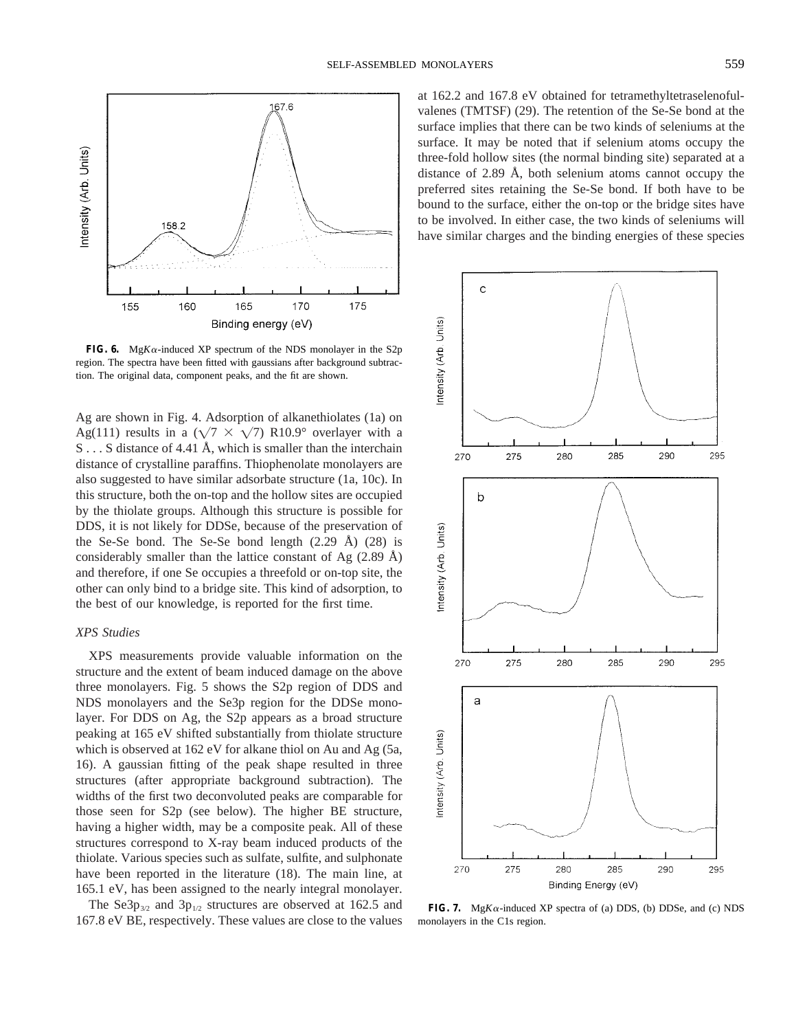

**FIG. 6.** Mg*K* $\alpha$ -induced XP spectrum of the NDS monolayer in the S2p region. The spectra have been fitted with gaussians after background subtraction. The original data, component peaks, and the fit are shown.

Ag are shown in Fig. 4. Adsorption of alkanethiolates (1a) on Ag(111) results in a ( $\sqrt{7} \times \sqrt{7}$ ) R10.9° overlayer with a S...S distance of 4.41 Å, which is smaller than the interchain distance of crystalline paraffins. Thiophenolate monolayers are also suggested to have similar adsorbate structure (1a, 10c). In this structure, both the on-top and the hollow sites are occupied by the thiolate groups. Although this structure is possible for DDS, it is not likely for DDSe, because of the preservation of the Se-Se bond. The Se-Se bond length  $(2.29 \text{ Å})$   $(28)$  is considerably smaller than the lattice constant of Ag  $(2.89 \text{ Å})$ and therefore, if one Se occupies a threefold or on-top site, the other can only bind to a bridge site. This kind of adsorption, to the best of our knowledge, is reported for the first time.

# *XPS Studies*

XPS measurements provide valuable information on the structure and the extent of beam induced damage on the above three monolayers. Fig. 5 shows the S2p region of DDS and NDS monolayers and the Se3p region for the DDSe monolayer. For DDS on Ag, the S2p appears as a broad structure peaking at 165 eV shifted substantially from thiolate structure which is observed at 162 eV for alkane thiol on Au and Ag (5a, 16). A gaussian fitting of the peak shape resulted in three structures (after appropriate background subtraction). The widths of the first two deconvoluted peaks are comparable for those seen for S2p (see below). The higher BE structure, having a higher width, may be a composite peak. All of these structures correspond to X-ray beam induced products of the thiolate. Various species such as sulfate, sulfite, and sulphonate have been reported in the literature (18). The main line, at 165.1 eV, has been assigned to the nearly integral monolayer.

The Se3 $p_{3/2}$  and 3 $p_{1/2}$  structures are observed at 162.5 and 167.8 eV BE, respectively. These values are close to the values

at 162.2 and 167.8 eV obtained for tetramethyltetraselenofulvalenes (TMTSF) (29). The retention of the Se-Se bond at the surface implies that there can be two kinds of seleniums at the surface. It may be noted that if selenium atoms occupy the three-fold hollow sites (the normal binding site) separated at a distance of 2.89 Å, both selenium atoms cannot occupy the preferred sites retaining the Se-Se bond. If both have to be bound to the surface, either the on-top or the bridge sites have to be involved. In either case, the two kinds of seleniums will have similar charges and the binding energies of these species



**FIG. 7.** Mg $K\alpha$ -induced XP spectra of (a) DDS, (b) DDSe, and (c) NDS monolayers in the C1s region.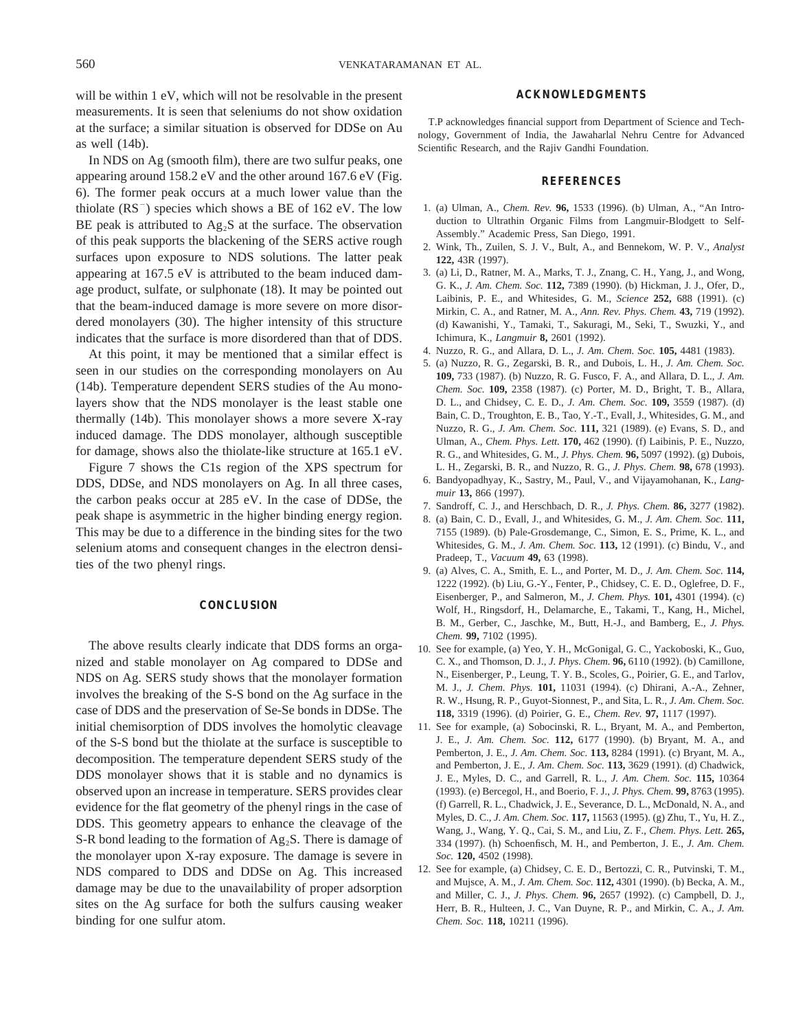will be within 1 eV, which will not be resolvable in the present measurements. It is seen that seleniums do not show oxidation at the surface; a similar situation is observed for DDSe on Au as well (14b).

In NDS on Ag (smooth film), there are two sulfur peaks, one appearing around 158.2 eV and the other around 167.6 eV (Fig. 6). The former peak occurs at a much lower value than the thiolate  $(RS^{-})$  species which shows a BE of 162 eV. The low BE peak is attributed to  $Ag<sub>2</sub>S$  at the surface. The observation of this peak supports the blackening of the SERS active rough surfaces upon exposure to NDS solutions. The latter peak appearing at 167.5 eV is attributed to the beam induced damage product, sulfate, or sulphonate (18). It may be pointed out that the beam-induced damage is more severe on more disordered monolayers (30). The higher intensity of this structure indicates that the surface is more disordered than that of DDS.

At this point, it may be mentioned that a similar effect is seen in our studies on the corresponding monolayers on Au (14b). Temperature dependent SERS studies of the Au monolayers show that the NDS monolayer is the least stable one thermally (14b). This monolayer shows a more severe X-ray induced damage. The DDS monolayer, although susceptible for damage, shows also the thiolate-like structure at 165.1 eV.

Figure 7 shows the C1s region of the XPS spectrum for DDS, DDSe, and NDS monolayers on Ag. In all three cases, the carbon peaks occur at 285 eV. In the case of DDSe, the peak shape is asymmetric in the higher binding energy region. This may be due to a difference in the binding sites for the two selenium atoms and consequent changes in the electron densities of the two phenyl rings.

### **CONCLUSION**

The above results clearly indicate that DDS forms an organized and stable monolayer on Ag compared to DDSe and NDS on Ag. SERS study shows that the monolayer formation involves the breaking of the S-S bond on the Ag surface in the case of DDS and the preservation of Se-Se bonds in DDSe. The initial chemisorption of DDS involves the homolytic cleavage of the S-S bond but the thiolate at the surface is susceptible to decomposition. The temperature dependent SERS study of the DDS monolayer shows that it is stable and no dynamics is observed upon an increase in temperature. SERS provides clear evidence for the flat geometry of the phenyl rings in the case of DDS. This geometry appears to enhance the cleavage of the S-R bond leading to the formation of  $Ag_2S$ . There is damage of the monolayer upon X-ray exposure. The damage is severe in NDS compared to DDS and DDSe on Ag. This increased damage may be due to the unavailability of proper adsorption sites on the Ag surface for both the sulfurs causing weaker binding for one sulfur atom.

## **ACKNOWLEDGMENTS**

T.P acknowledges financial support from Department of Science and Technology, Government of India, the Jawaharlal Nehru Centre for Advanced Scientific Research, and the Rajiv Gandhi Foundation.

## **REFERENCES**

- 1. (a) Ulman, A., *Chem. Rev.* **96,** 1533 (1996). (b) Ulman, A., "An Introduction to Ultrathin Organic Films from Langmuir-Blodgett to Self-Assembly." Academic Press, San Diego, 1991.
- 2. Wink, Th., Zuilen, S. J. V., Bult, A., and Bennekom, W. P. V., *Analyst* **122,** 43R (1997).
- 3. (a) Li, D., Ratner, M. A., Marks, T. J., Znang, C. H., Yang, J., and Wong, G. K., *J. Am. Chem. Soc.* **112,** 7389 (1990). (b) Hickman, J. J., Ofer, D., Laibinis, P. E., and Whitesides, G. M., *Science* **252,** 688 (1991). (c) Mirkin, C. A., and Ratner, M. A., *Ann. Rev. Phys. Chem.* **43,** 719 (1992). (d) Kawanishi, Y., Tamaki, T., Sakuragi, M., Seki, T., Swuzki, Y., and Ichimura, K., *Langmuir* **8,** 2601 (1992).
- 4. Nuzzo, R. G., and Allara, D. L., *J. Am. Chem. Soc.* **105,** 4481 (1983).
- 5. (a) Nuzzo, R. G., Zegarski, B. R., and Dubois, L. H., *J. Am. Chem. Soc.* **109,** 733 (1987). (b) Nuzzo, R. G. Fusco, F. A., and Allara, D. L., *J. Am. Chem. Soc.* **109,** 2358 (1987). (c) Porter, M. D., Bright, T. B., Allara, D. L., and Chidsey, C. E. D., *J. Am. Chem. Soc.* **109,** 3559 (1987). (d) Bain, C. D., Troughton, E. B., Tao, Y.-T., Evall, J., Whitesides, G. M., and Nuzzo, R. G., *J. Am. Chem. Soc.* **111,** 321 (1989). (e) Evans, S. D., and Ulman, A., *Chem. Phys. Lett.* **170,** 462 (1990). (f) Laibinis, P. E., Nuzzo, R. G., and Whitesides, G. M., *J. Phys. Chem.* **96,** 5097 (1992). (g) Dubois, L. H., Zegarski, B. R., and Nuzzo, R. G., *J. Phys. Chem.* **98,** 678 (1993).
- 6. Bandyopadhyay, K., Sastry, M., Paul, V., and Vijayamohanan, K., *Langmuir* **13,** 866 (1997).
- 7. Sandroff, C. J., and Herschbach, D. R., *J. Phys. Chem.* **86,** 3277 (1982).
- 8. (a) Bain, C. D., Evall, J., and Whitesides, G. M., *J. Am. Chem. Soc.* **111,** 7155 (1989). (b) Pale-Grosdemange, C., Simon, E. S., Prime, K. L., and Whitesides, G. M., *J. Am. Chem. Soc.* **113,** 12 (1991). (c) Bindu, V., and Pradeep, T., *Vacuum* **49,** 63 (1998).
- 9. (a) Alves, C. A., Smith, E. L., and Porter, M. D., *J. Am. Chem. Soc.* **114,** 1222 (1992). (b) Liu, G.-Y., Fenter, P., Chidsey, C. E. D., Oglefree, D. F., Eisenberger, P., and Salmeron, M., *J. Chem. Phys.* **101,** 4301 (1994). (c) Wolf, H., Ringsdorf, H., Delamarche, E., Takami, T., Kang, H., Michel, B. M., Gerber, C., Jaschke, M., Butt, H.-J., and Bamberg, E., *J. Phys. Chem.* **99,** 7102 (1995).
- 10. See for example, (a) Yeo, Y. H., McGonigal, G. C., Yackoboski, K., Guo, C. X., and Thomson, D. J., *J. Phys. Chem.* **96,** 6110 (1992). (b) Camillone, N., Eisenberger, P., Leung, T. Y. B., Scoles, G., Poirier, G. E., and Tarlov, M. J., *J. Chem. Phys.* **101,** 11031 (1994). (c) Dhirani, A.-A., Zehner, R. W., Hsung, R. P., Guyot-Sionnest, P., and Sita, L. R., *J. Am. Chem. Soc.* **118,** 3319 (1996). (d) Poirier, G. E., *Chem. Rev.* **97,** 1117 (1997).
- 11. See for example, (a) Sobocinski, R. L., Bryant, M. A., and Pemberton, J. E., *J. Am. Chem. Soc.* **112,** 6177 (1990). (b) Bryant, M. A., and Pemberton, J. E., *J. Am. Chem. Soc.* **113,** 8284 (1991). (c) Bryant, M. A., and Pemberton, J. E., *J. Am. Chem. Soc.* **113,** 3629 (1991). (d) Chadwick, J. E., Myles, D. C., and Garrell, R. L., *J. Am. Chem. Soc.* **115,** 10364 (1993). (e) Bercegol, H., and Boerio, F. J., *J. Phys. Chem.* **99,** 8763 (1995). (f) Garrell, R. L., Chadwick, J. E., Severance, D. L., McDonald, N. A., and Myles, D. C., *J. Am. Chem. Soc.* **117,** 11563 (1995). (g) Zhu, T., Yu, H. Z., Wang, J., Wang, Y. Q., Cai, S. M., and Liu, Z. F., *Chem. Phys. Lett.* **265,** 334 (1997). (h) Schoenfisch, M. H., and Pemberton, J. E., *J. Am. Chem. Soc.* **120,** 4502 (1998).
- 12. See for example, (a) Chidsey, C. E. D., Bertozzi, C. R., Putvinski, T. M., and Mujsce, A. M., *J. Am. Chem. Soc.* **112,** 4301 (1990). (b) Becka, A. M., and Miller, C. J., *J. Phys. Chem.* **96,** 2657 (1992). (c) Campbell, D. J., Herr, B. R., Hulteen, J. C., Van Duyne, R. P., and Mirkin, C. A., *J. Am. Chem. Soc.* **118,** 10211 (1996).